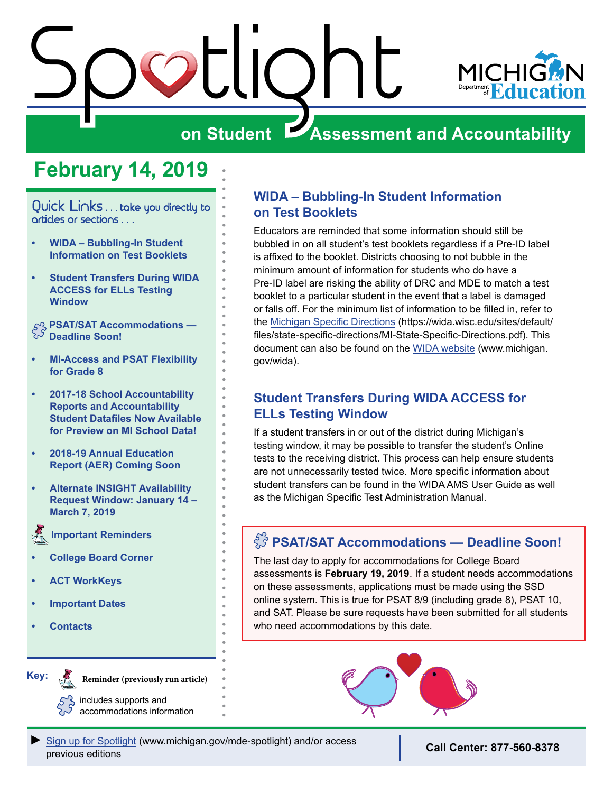



# **on Student Assessment and Accountability**

# **February 14, 2019**

<span id="page-0-0"></span>Quick Links . . . take you directly to articles or sections . . .

- **• WIDA Bubbling-In Student Information on Test Booklets**
- **• Student Transfers During WIDA ACCESS for ELLs Testing Window**

**PSAT/SAT Accommodations — Deadline Soon!** 

- **• [MI-Access and PSAT Flexibility](#page-1-0)  [for Grade 8](#page-1-0)**
- **• [2017-18 School Accountability](#page-1-0)  [Reports and Accountability](#page-1-0)  [Student Datafiles Now Available](#page-1-0)  [for Preview on MI School Data!](#page-1-0)**
- **• [2018-19 Annual Education](#page-1-0)  [Report \(AER\) Coming Soon](#page-1-0)**
- **• [Alternate INSIGHT Availability](#page-1-0)  [Request Window: January 14 –](#page-1-0)  [March 7, 2019](#page-1-0)**

 **[Important Reminders](#page-2-0)**

- **• [College Board Corner](#page-2-0)**
- **• [ACT WorkKeys](#page-4-0)**
- **• [Important Dates](#page-5-0)**
- **• [Contacts](#page-7-0)**

Reminders

**Key:**

Reminders

**Reminder (previously run article)**

includes supports and accommodations information

### **WIDA – Bubbling-In Student Information on Test Booklets**

Educators are reminded that some information should still be bubbled in on all student's test booklets regardless if a Pre-ID label is affixed to the booklet. Districts choosing to not bubble in the minimum amount of information for students who do have a Pre-ID label are risking the ability of DRC and MDE to match a test booklet to a particular student in the event that a label is damaged or falls off. For the minimum list of information to be filled in, refer to the [Michigan Specific Directions](https://wida.wisc.edu/sites/default/files/state-specific-directions/MI-State-Specific-Directions.pdf) (https://wida.wisc.edu/sites/default/ files/state-specific-directions/MI-State-Specific-Directions.pdf). This document can also be found on the [WIDA website](https://www.michigan.gov/mde/0,1607,7-140-22709_40192---,00.html) (www.michigan. gov/wida).

## **Student Transfers During WIDA ACCESS for ELLs Testing Window**

If a student transfers in or out of the district during Michigan's testing window, it may be possible to transfer the student's Online tests to the receiving district. This process can help ensure students are not unnecessarily tested twice. More specific information about student transfers can be found in the WIDA AMS User Guide as well as the Michigan Specific Test Administration Manual.

# **PSAT/SAT Accommodations — Deadline Soon!**

The last day to apply for accommodations for College Board assessments is **February 19, 2019**. If a student needs accommodations on these assessments, applications must be made using the SSD online system. This is true for PSAT 8/9 (including grade 8), PSAT 10, and SAT. Please be sure requests have been submitted for all students who need accommodations by this date.

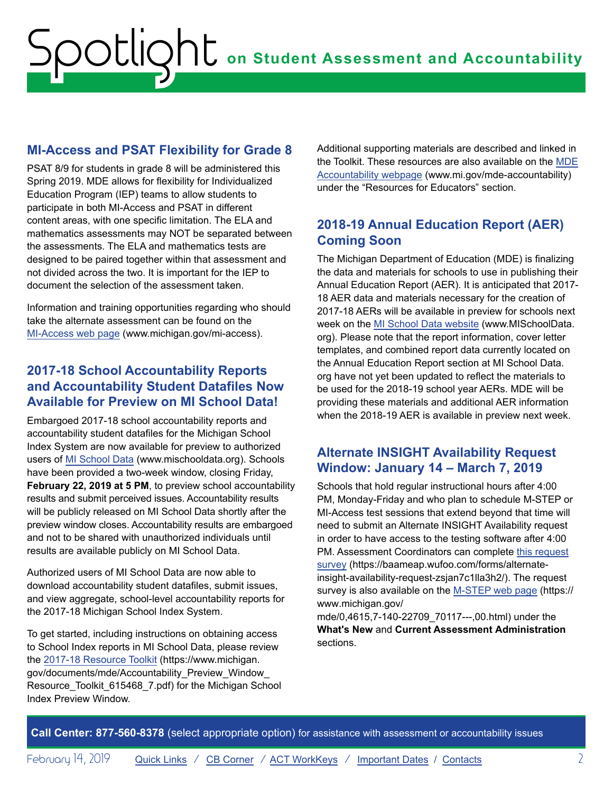## <span id="page-1-0"></span>**MI-Access and PSAT Flexibility for Grade 8**

PSAT 8/9 for students in grade 8 will be administered this Spring 2019. MDE allows for flexibility for Individualized Education Program (IEP) teams to allow students to participate in both MI-Access and PSAT in different content areas, with one specific limitation. The ELA and mathematics assessments may NOT be separated between the assessments. The ELA and mathematics tests are designed to be paired together within that assessment and not divided across the two. It is important for the IEP to document the selection of the assessment taken.

Information and training opportunities regarding who should take the alternate assessment can be found on the [MI-Access web page](https://www.michigan.gov/mde/0,1607,7-140-22709_28463---,00.html) (www.michigan.gov/mi-access).

### **2017-18 School Accountability Reports and Accountability Student Datafiles Now Available for Preview on MI School Data!**

Embargoed 2017-18 school accountability reports and accountability student datafiles for the Michigan School Index System are now available for preview to authorized users of [MI School Data](https://www.mischooldata.org/) (www.mischooldata.org). Schools have been provided a two-week window, closing Friday, **February 22, 2019 at 5 PM**, to preview school accountability results and submit perceived issues. Accountability results will be publicly released on MI School Data shortly after the preview window closes. Accountability results are embargoed and not to be shared with unauthorized individuals until results are available publicly on MI School Data.

Authorized users of MI School Data are now able to download accountability student datafiles, submit issues, and view aggregate, school-level accountability reports for the 2017-18 Michigan School Index System.

To get started, including instructions on obtaining access to School Index reports in MI School Data, please review the [2017-18 Resource Toolkit](https://www.michigan.gov/documents/mde/Accountability_Preview_Window_Resource_Toolkit_615468_7.pdf) (https://www.michigan. gov/documents/mde/Accountability\_Preview\_Window\_ Resource\_Toolkit\_615468\_7.pdf) for the Michigan School Index Preview Window.

Additional supporting materials are described and linked in the Toolkit. These resources are also available on the [MDE](https://www.michigan.gov/mde/0,4615,7-140-81376_59490---,00.html)  [Accountability webpage](https://www.michigan.gov/mde/0,4615,7-140-81376_59490---,00.html) (www.mi.gov/mde-accountability) under the "Resources for Educators" section.

## **2018-19 Annual Education Report (AER) Coming Soon**

The Michigan Department of Education (MDE) is finalizing the data and materials for schools to use in publishing their Annual Education Report (AER). It is anticipated that 2017- 18 AER data and materials necessary for the creation of 2017-18 AERs will be available in preview for schools next week on the [MI School Data website](https://www.mischooldata.org/) (www.MISchoolData. org). Please note that the report information, cover letter templates, and combined report data currently located on the Annual Education Report section at MI School Data. org have not yet been updated to reflect the materials to be used for the 2018-19 school year AERs. MDE will be providing these materials and additional AER information when the 2018-19 AER is available in preview next week.

## **Alternate INSIGHT Availability Request Window: January 14 – March 7, 2019**

Schools that hold regular instructional hours after 4:00 PM, Monday-Friday and who plan to schedule M-STEP or MI-Access test sessions that extend beyond that time will need to submit an Alternate INSIGHT Availability request in order to have access to the testing software after 4:00 PM. Assessment Coordinators can complete [this request](https://baameap.wufoo.com/forms/alternate-insight-availability-request-zsjan7c1lla3h2/) [survey](https://baameap.wufoo.com/forms/alternate-insight-availability-request-zsjan7c1lla3h2/) (https://baameap.wufoo.com/forms/alternateinsight-availability-request-zsjan7c1lla3h2/). The request survey is also available on the [M-STEP web page](https://www.michigan.gov/mde/0,4615,7-140-22709_70117---,00.html) (https:// www.michigan.gov/

mde/0,4615,7-140-22709\_70117---,00.html) under the **What's New** and **Current Assessment Administration** sections.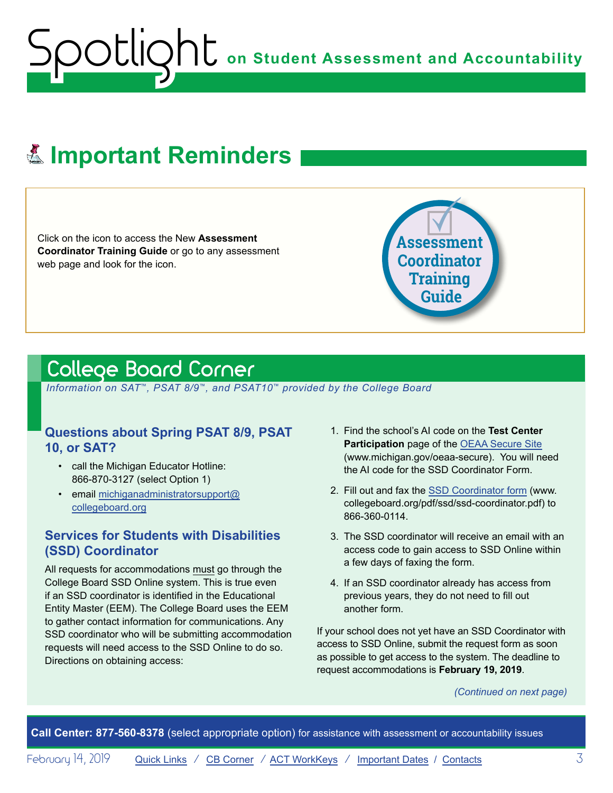# <span id="page-2-0"></span>**E. Important Reminders**

Click on the icon to access the New **Assessment Coordinator Training Guide** or go to any assessment web page and look for the icon.



# <span id="page-2-1"></span>College Board Corner

 *Information on SAT*™*, PSAT 8/9*™*, and PSAT10*™ *provided by the College Board*

### **Questions about Spring PSAT 8/9, PSAT 10, or SAT?**

- call the Michigan Educator Hotline: 866-870-3127 (select Option 1)
- email [michiganadministratorsupport@](mailto:michiganadministratorsupport%40collegeboard.org?subject=) [collegeboard.org](mailto:michiganadministratorsupport%40collegeboard.org?subject=)

#### **Services for Students with Disabilities (SSD) Coordinator**

All requests for accommodations must go through the College Board SSD Online system. This is true even if an SSD coordinator is identified in the Educational Entity Master (EEM). The College Board uses the EEM to gather contact information for communications. Any SSD coordinator who will be submitting accommodation requests will need access to the SSD Online to do so. Directions on obtaining access:

- 1. Find the school's AI code on the **Test Center Participation** page of the [OEAA Secure Site](http://www.michigan.gov/oeaa-secure) (www.michigan.gov/oeaa-secure). You will need the AI code for the SSD Coordinator Form.
- 2. Fill out and fax the [SSD Coordinator form](http://www.collegeboard.org/pdf/ssd/ssd-coordinator.pdf) (www. collegeboard.org/pdf/ssd/ssd-coordinator.pdf) to 866-360-0114.
- 3. The SSD coordinator will receive an email with an access code to gain access to SSD Online within a few days of faxing the form.
- 4. If an SSD coordinator already has access from previous years, they do not need to fill out another form.

If your school does not yet have an SSD Coordinator with access to SSD Online, submit the request form as soon as possible to get access to the system. The deadline to request accommodations is **February 19, 2019**.

*(Continued on next page)*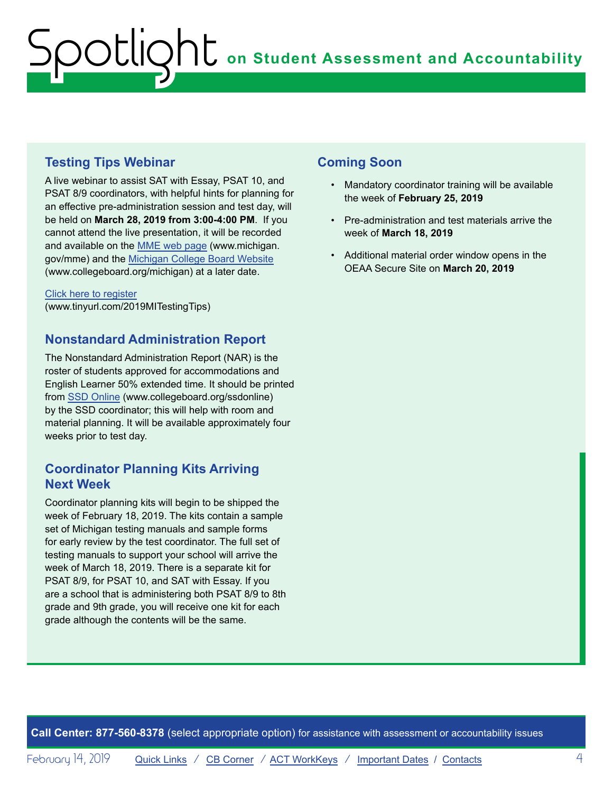## **Testing Tips Webinar**

A live webinar to assist SAT with Essay, PSAT 10, and PSAT 8/9 coordinators, with helpful hints for planning for an effective pre-administration session and test day, will be held on **March 28, 2019 from 3:00-4:00 PM**. If you cannot attend the live presentation, it will be recorded and available on the [MME web page](https://www.michigan.gov/mde/0,1607,7-140-22709_35150---,00.html) (www.michigan. gov/mme) and the [Michigan College Board Website](http://www.collegeboard.org/michigan) (www.collegeboard.org/michigan) at a later date.

[Click here to register](http://www.tinyurl.com/2019MITestingTips) (www.tinyurl.com/2019MITestingTips)

#### **Nonstandard Administration Report**

The Nonstandard Administration Report (NAR) is the roster of students approved for accommodations and English Learner 50% extended time. It should be printed from [SSD Online](http://www.collegeboard.org/ssdonline) (www.collegeboard.org/ssdonline) by the SSD coordinator; this will help with room and material planning. It will be available approximately four weeks prior to test day.

### **Coordinator Planning Kits Arriving Next Week**

Coordinator planning kits will begin to be shipped the week of February 18, 2019. The kits contain a sample set of Michigan testing manuals and sample forms for early review by the test coordinator. The full set of testing manuals to support your school will arrive the week of March 18, 2019. There is a separate kit for PSAT 8/9, for PSAT 10, and SAT with Essay. If you are a school that is administering both PSAT 8/9 to 8th grade and 9th grade, you will receive one kit for each grade although the contents will be the same.

### **Coming Soon**

- Mandatory coordinator training will be available the week of **February 25, 2019**
- Pre-administration and test materials arrive the week of **March 18, 2019**
- Additional material order window opens in the OEAA Secure Site on **March 20, 2019**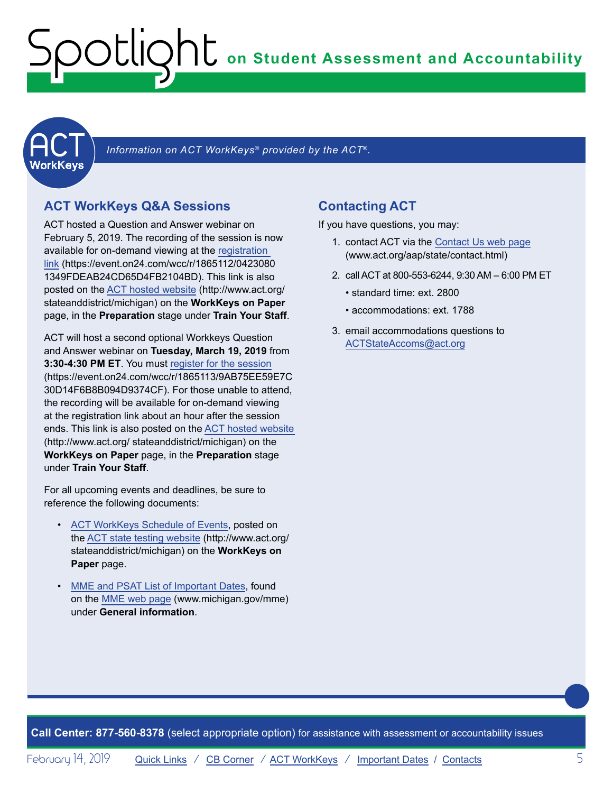<span id="page-4-0"></span>

Information on ACT WorkKeys<sup>®</sup> provided by the ACT<sup>®</sup>.

## **ACT WorkKeys Q&A Sessions**

ACT hosted a Question and Answer webinar on February 5, 2019. The recording of the session is now available for on-demand viewing at the [registration](https://event.on24.com/wcc/r/1865112/04230801349FDEAB24CD65D4FB2104BD)  [link](https://event.on24.com/wcc/r/1865112/04230801349FDEAB24CD65D4FB2104BD) (https://event.on24.com/wcc/r/1865112/0423080 1349FDEAB24CD65D4FB2104BD). This link is also posted on the [ACT hosted website](http://www.act.org/stateanddistrict/michigan) (http://www.act.org/ stateanddistrict/michigan) on the **WorkKeys on Paper** page, in the **Preparation** stage under **Train Your Staff**.

ACT will host a second optional Workkeys Question and Answer webinar on **Tuesday, March 19, 2019** from **3:30-4:30 PM ET**. You must [register for the session](https://event.on24.com/wcc/r/1865113/9AB75EE59E7C30D14F6B8B094D9374CF) (https://event.on24.com/wcc/r/1865113/9AB75EE59E7C 30D14F6B8B094D9374CF). For those unable to attend, the recording will be available for on-demand viewing at the registration link about an hour after the session ends. This link is also posted on the [ACT hosted website](http://www.act.org/stateanddistrict/michigan) (http://www.act.org/ stateanddistrict/michigan) on the **WorkKeys on Paper** page, in the **Preparation** stage under **Train Your Staff**.

For all upcoming events and deadlines, be sure to reference the following documents:

- [ACT WorkKeys Schedule of Events,](http://www.act.org/content/dam/act/unsecured/documents/ScheduleofEventsWorkKeys-MI.pdf) posted on the [ACT state testing website](http://www.act.org/stateanddistrict/michigan) (http://www.act.org/ stateanddistrict/michigan) on the **WorkKeys on Paper** page.
- [MME and PSAT List of Important Dates](https://www.michigan.gov/documents/mde/MME_List_of_Important_Dates_634790_7.pdf), found on the [MME web page](www.michigan.gov/mme) (www.michigan.gov/mme) under **General information**.

## **Contacting ACT**

If you have questions, you may:

- 1. contact ACT via the [Contact Us web page](http://www.act.org/aap/state/contact.html) ([www.act.org/aap/state/contact.html\)](www.act.org/aap/state/contact.html)
- 2. call ACT at 800-553-6244, 9:30 AM 6:00 PM ET
	- standard time: ext. 2800
	- accommodations: ext. 1788
- 3. email accommodations questions to [ACTStateAccoms@act.org](mailto:ACTStateAccoms%40act.org?subject=)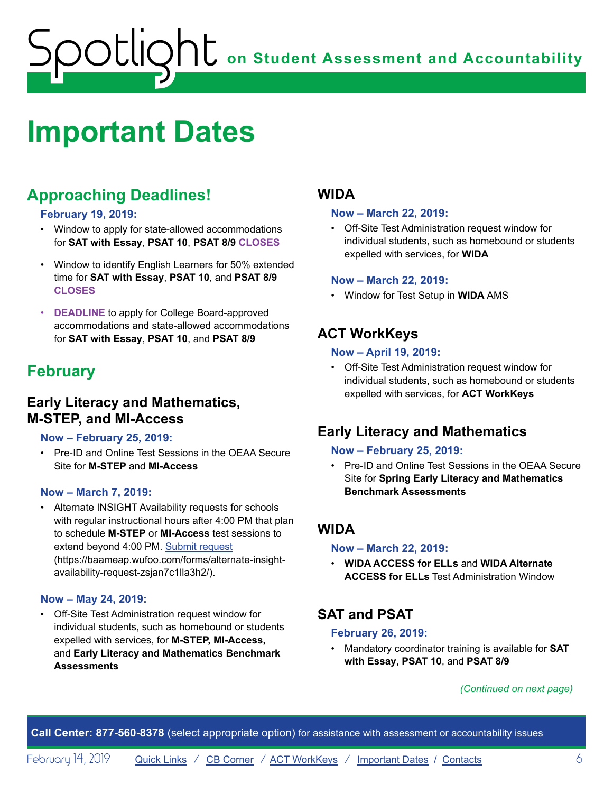# <span id="page-5-1"></span><span id="page-5-0"></span>**Important Dates**

# **Approaching Deadlines!**

#### **February 19, 2019:**

- Window to apply for state-allowed accommodations for **SAT with Essay**, **PSAT 10**, **PSAT 8/9 CLOSES**
- Window to identify English Learners for 50% extended time for **SAT with Essay**, **PSAT 10**, and **PSAT 8/9 CLOSES**
- **DEADLINE** to apply for College Board-approved accommodations and state-allowed accommodations for **SAT with Essay**, **PSAT 10**, and **PSAT 8/9**

# **February**

# **Early Literacy and Mathematics, M-STEP, and MI-Access**

#### **Now – February 25, 2019:**

• Pre-ID and Online Test Sessions in the OEAA Secure Site for **M-STEP** and **MI-Access**

#### **Now – March 7, 2019:**

• Alternate INSIGHT Availability requests for schools with regular instructional hours after 4:00 PM that plan to schedule **M-STEP** or **MI-Access** test sessions to extend beyond 4:00 PM. [Submit request](https://baameap.wufoo.com/forms/alternate-insight-availability-request-zsjan7c1lla3h2/) (https://baameap.wufoo.com/forms/alternate-insightavailability-request-zsjan7c1lla3h2/).

#### **Now – May 24, 2019:**

• Off-Site Test Administration request window for individual students, such as homebound or students expelled with services, for **M-STEP, MI-Access,**  and **Early Literacy and Mathematics Benchmark Assessments**

# **WIDA**

#### **Now – March 22, 2019:**

• Off-Site Test Administration request window for individual students, such as homebound or students expelled with services, for **WIDA**

#### **Now – March 22, 2019:**

• Window for Test Setup in **WIDA** AMS

# **ACT WorkKeys**

#### **Now – April 19, 2019:**

• Off-Site Test Administration request window for individual students, such as homebound or students expelled with services, for **ACT WorkKeys**

# **Early Literacy and Mathematics**

#### **Now – February 25, 2019:**

• Pre-ID and Online Test Sessions in the OEAA Secure Site for **Spring Early Literacy and Mathematics Benchmark Assessments**

## **WIDA**

#### **Now – March 22, 2019:**

• **WIDA ACCESS for ELLs** and **WIDA Alternate ACCESS for ELLs** Test Administration Window

# **SAT and PSAT**

#### **February 26, 2019:**

• Mandatory coordinator training is available for **SAT with Essay**, **PSAT 10**, and **PSAT 8/9**

#### *(Continued on next page)*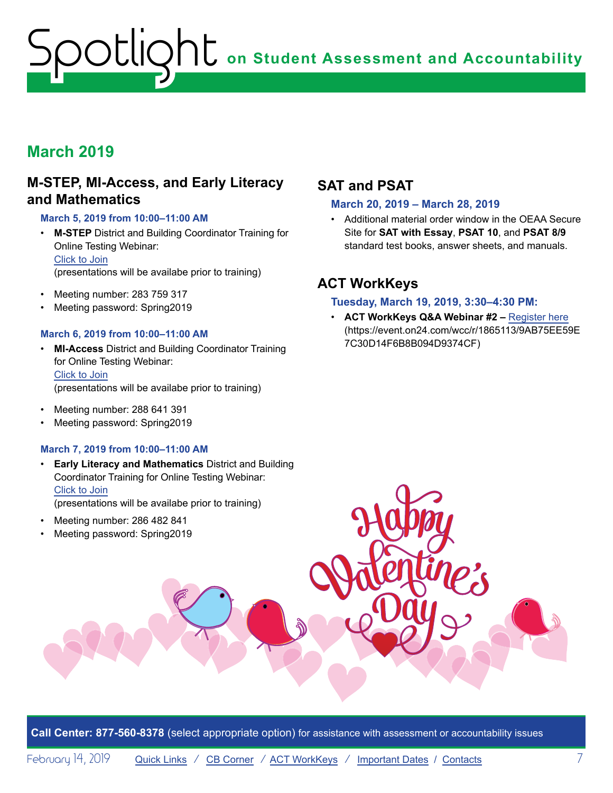# **March 2019**

## **M-STEP, MI-Access, and Early Literacy and Mathematics**

#### **March 5, 2019 from 10:00–11:00 AM**

- **M-STEP** District and Building Coordinator Training for Online Testing Webinar: Click to Join (presentations will be availabe prior to training)
- Meeting number: 283 759 317
- Meeting password: Spring2019

#### **March 6, 2019 from 10:00–11:00 AM**

- **MI-Access** District and Building Coordinator Training for Online Testing Webinar: Click to Join (presentations will be availabe prior to training)
- Meeting number: 288 641 391
- Meeting password: Spring2019

#### **March 7, 2019 from 10:00–11:00 AM**

• **Early Literacy and Mathematics** District and Building Coordinator Training for Online Testing Webinar: Click to Join

(presentations will be availabe prior to training)

- Meeting number: 286 482 841
- Meeting password: Spring2019

# **SAT and PSAT**

#### **March 20, 2019 – March 28, 2019**

• Additional material order window in the OEAA Secure Site for **SAT with Essay**, **PSAT 10**, and **PSAT 8/9** standard test books, answer sheets, and manuals.

# **ACT WorkKeys**

#### **Tuesday, March 19, 2019, 3:30–4:30 PM:**

• **ACT WorkKeys Q&A Webinar #2 –** [Register here](https://event.on24.com/wcc/r/1865113/9AB75EE59E7C30D14F6B8B094D9374CF) (https://event.on24.com/wcc/r/1865113/9AB75EE59E 7C30D14F6B8B094D9374CF)